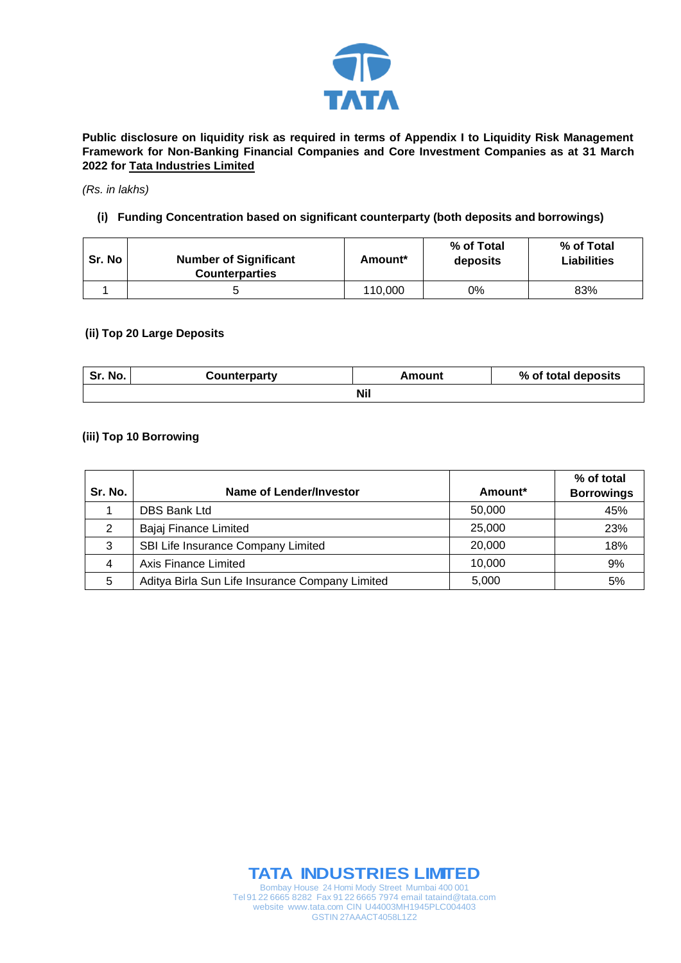

**Public disclosure on liquidity risk as required in terms of Appendix I to Liquidity Risk Management Framework for Non-Banking Financial Companies and Core Investment Companies as at 31 March 2022 for Tata Industries Limited**

#### *(Rs. in lakhs)*

## **(i) Funding Concentration based on significant counterparty (both deposits and borrowings)**

| Sr. No | <b>Number of Significant</b><br><b>Counterparties</b> | Amount* | % of Total<br>deposits | % of Total<br><b>Liabilities</b> |
|--------|-------------------------------------------------------|---------|------------------------|----------------------------------|
|        |                                                       | 110,000 | 0%                     | 83%                              |

#### **(ii) Top 20 Large Deposits**

| Sr. No. | Counterparty | Amount | % of total deposits |
|---------|--------------|--------|---------------------|
|         |              | Nil    |                     |

### **(iii) Top 10 Borrowing**

| Sr. No. | Name of Lender/Investor                         | Amount <sup>*</sup> | % of total<br><b>Borrowings</b> |
|---------|-------------------------------------------------|---------------------|---------------------------------|
|         | <b>DBS Bank Ltd</b>                             | 50,000              | 45%                             |
| 2       | Bajaj Finance Limited                           | 25,000              | 23%                             |
| 3       | SBI Life Insurance Company Limited              | 20,000              | 18%                             |
| 4       | Axis Finance Limited                            | 10,000              | 9%                              |
| 5       | Aditya Birla Sun Life Insurance Company Limited | 5,000               | 5%                              |